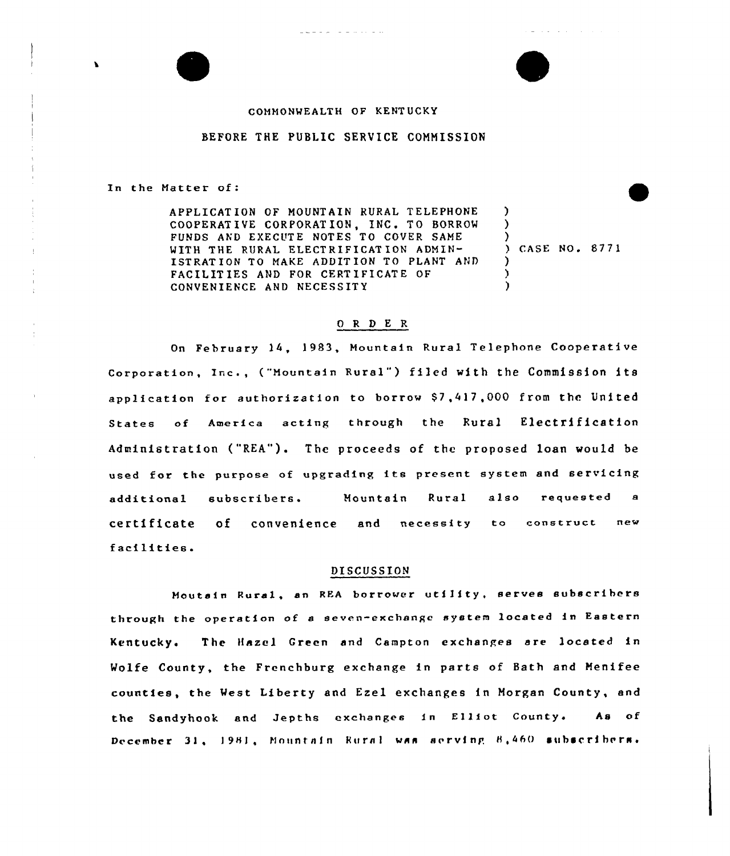

ما جا المالية التي التي التي تتالي

## BEFORE THE PUBLIC SERUICE COMMISSION

In the Matter of:

APPLICAT ION OF MOUNTAIN RURAL TELEPHONE COOPERATIVE CORPORATION, INC. TO BORROW FUNDS AND EXECUTE NOTES TO COVER SAME WITH THE RURAL ELECTRIFICATION ADMIN-ISTRATION TO MAKE ADDITION TO PLANT AND FACILITIES AND FOR CERTIFICATE OF CONVENIENCE AND NECESSITY

) CASE No. 8771

contract and service

) ) )

> ) ) )

## 0 R <sup>D</sup> E R

On February 14, 1983, Mountain Rural Telephone Cooperative Corporation, Inc., ("Mountain Rural") filed with the Commission its application for authorization to borrow \$7,417,000 from the United States of America acting through the Rural Electrification Administration ("REA"). The proceeds of the proposed loan would be used for the purpose of upgrading its present system and servicing additional subscribers. Mountain Rural also requested <sup>a</sup> certificate of convenience and necessity to construct new facilities.

## DISCUSSION

Mautsin Rural, an REA borrower utility, serves subscribers through the operation of <sup>a</sup> seven-exchange system located in Eastern Kentucky. The Hazel Green and eampton exchanges are located in Wolfe County, the Frenchburg exchange in parts of Bath and Menifee counties, the West Liberty and Ezel exchanges in Morgan County, and the Sandyhook and Jepths exchanges in Elliot County. As of December 31, 1981, Mountain Rural was aerving B,460 subscribers.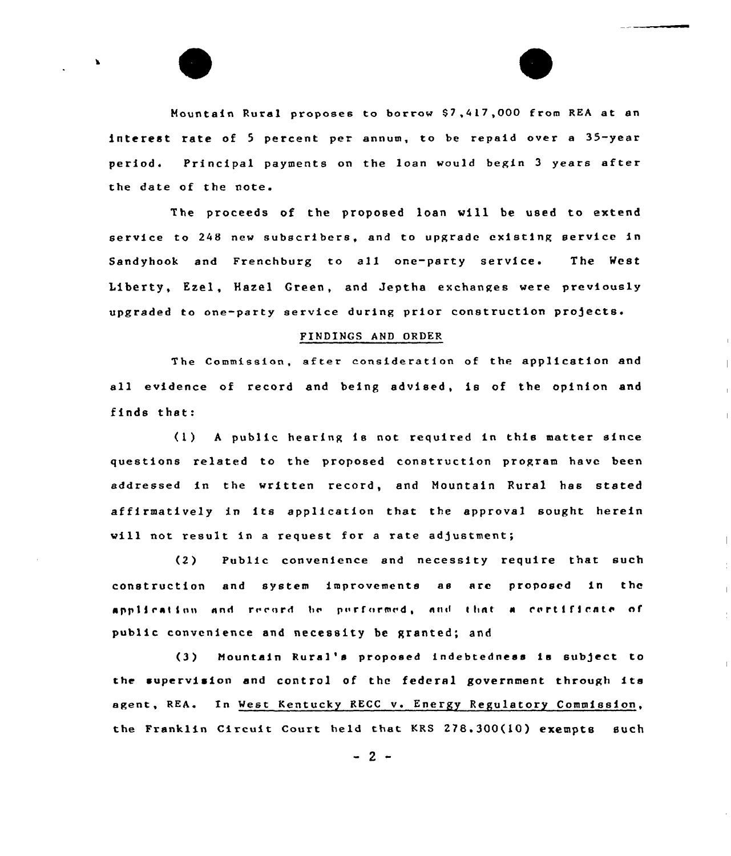Mountain Rural proposes to borrow \$7,417,000 from REA at an interest rate of 5 percent per annum, to be repaid over a 35-year period. Principal payments on the loan would begin <sup>3</sup> years after the date of the note.

The proceeds of the proposed loan vill be used to extend service to 248 new subscribers, and to upgrade existing service in Sandyhook and Frenchburg to all one-party service. The West Liberty, Ezel, Hazel Creen, and Jeptha exchanges were previously upgraded to one-party service during prior construction projects.

## FINDINGS AND ORDER

The Commission, after consideration of the application and all evidence of record and being advised, ia of the opinion and finds that:

(1) <sup>A</sup> public hearing is not required in this matter since questions related to the proposed construction program have been addressed in the written record, and Mountain Rural has stated affirmatively in its application that the approval sought herein will not result in a request for a rate adjustment;

(2) Public convenience and necessity require that such construction and system improvements as are proposed in thc application and record be porformed, and that a cortificate of public convenience and necessity be granted; and

(3) Mountain Rural's proposed indebtedness is subject to tbe supervision and control of the federal government through its agent, REA. In West Kentucky RECC v. Energy Regulatory Commission, the Franklin Circuit Court held that KRS 278.300(10) exempts such

 $-2-$